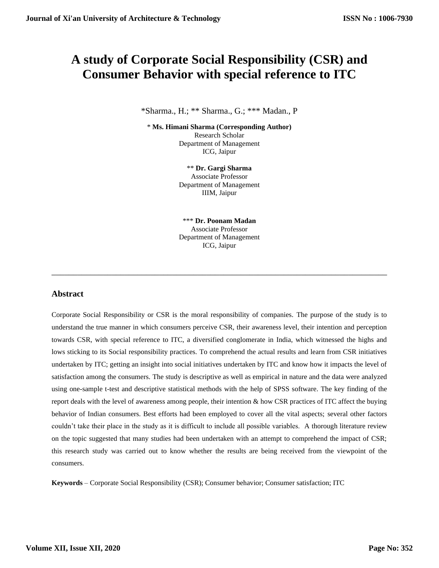# **A study of Corporate Social Responsibility (CSR) and Consumer Behavior with special reference to ITC**

\*Sharma., H.; \*\* Sharma., G.; \*\*\* Madan., P

\* **Ms. Himani Sharma (Corresponding Author)** Research Scholar Department of Management ICG, Jaipur

> \*\* **Dr. Gargi Sharma** Associate Professor Department of Management IIIM, Jaipur

> \*\*\* **Dr. Poonam Madan** Associate Professor Department of Management ICG, Jaipur

\_\_\_\_\_\_\_\_\_\_\_\_\_\_\_\_\_\_\_\_\_\_\_\_\_\_\_\_\_\_\_\_\_\_\_\_\_\_\_\_\_\_\_\_\_\_\_\_\_\_\_\_\_\_\_\_\_\_\_\_\_\_\_\_\_\_\_\_\_\_\_\_\_\_\_\_\_\_

#### **Abstract**

Corporate Social Responsibility or CSR is the moral responsibility of companies. The purpose of the study is to understand the true manner in which consumers perceive CSR, their awareness level, their intention and perception towards CSR, with special reference to ITC, a diversified conglomerate in India, which witnessed the highs and lows sticking to its Social responsibility practices. To comprehend the actual results and learn from CSR initiatives undertaken by ITC; getting an insight into social initiatives undertaken by ITC and know how it impacts the level of satisfaction among the consumers. The study is descriptive as well as empirical in nature and the data were analyzed using one-sample t-test and descriptive statistical methods with the help of SPSS software. The key finding of the report deals with the level of awareness among people, their intention & how CSR practices of ITC affect the buying behavior of Indian consumers. Best efforts had been employed to cover all the vital aspects; several other factors couldn't take their place in the study as it is difficult to include all possible variables. A thorough literature review on the topic suggested that many studies had been undertaken with an attempt to comprehend the impact of CSR; this research study was carried out to know whether the results are being received from the viewpoint of the consumers.

**Keywords** – Corporate Social Responsibility (CSR); Consumer behavior; Consumer satisfaction; ITC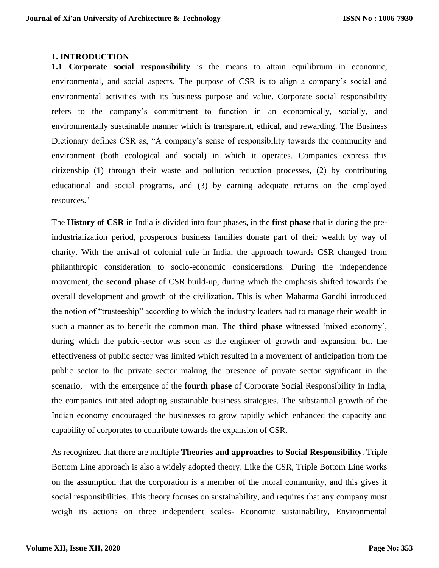#### **1. INTRODUCTION**

**1.1 Corporate social responsibility** is the means to attain equilibrium in economic, environmental, and social aspects. The purpose of CSR is to align a company's social and environmental activities with its business purpose and value. Corporate social responsibility refers to the company's commitment to function in an economically, socially, and environmentally sustainable manner which is transparent, ethical, and rewarding. The Business Dictionary defines CSR as, "A company's sense of responsibility towards the community and environment (both ecological and social) in which it operates. Companies express this citizenship (1) through their waste and pollution reduction processes, (2) by contributing educational and social programs, and (3) by earning adequate returns on the employed resources."

The **History of CSR** in India is divided into four phases, in the **first phase** that is during the preindustrialization period, prosperous business families donate part of their wealth by way of charity. With the arrival of colonial rule in India, the approach towards CSR changed from philanthropic consideration to socio-economic considerations. During the independence movement, the **second phase** of CSR build-up, during which the emphasis shifted towards the overall development and growth of the civilization. This is when Mahatma Gandhi introduced the notion of "trusteeship" according to which the industry leaders had to manage their wealth in such a manner as to benefit the common man. The **third phase** witnessed 'mixed economy', during which the public-sector was seen as the engineer of growth and expansion, but the effectiveness of public sector was limited which resulted in a movement of anticipation from the public sector to the private sector making the presence of private sector significant in the scenario, with the emergence of the **fourth phase** of Corporate Social Responsibility in India, the companies initiated adopting sustainable business strategies. The substantial growth of the Indian economy encouraged the businesses to grow rapidly which enhanced the capacity and capability of corporates to contribute towards the expansion of CSR.

As recognized that there are multiple **Theories and approaches to Social Responsibility**. Triple Bottom Line approach is also a widely adopted theory. Like the CSR, Triple Bottom Line works on the assumption that the corporation is a member of the moral community, and this gives it social responsibilities. This theory focuses on sustainability, and requires that any company must weigh its actions on three independent scales- Economic sustainability, Environmental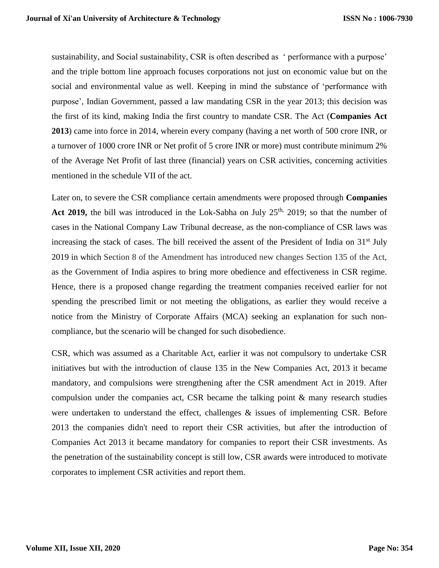sustainability, and Social sustainability, CSR is often described as ' performance with a purpose' and the triple bottom line approach focuses corporations not just on economic value but on the social and environmental value as well. Keeping in mind the substance of 'performance with purpose', Indian Government, passed a law mandating CSR in the year 2013; this decision was the first of its kind, making India the first country to mandate CSR. The Act (**Companies Act 2013**) came into force in 2014, wherein every company (having a net worth of 500 crore INR, or a turnover of 1000 crore INR or Net profit of 5 crore INR or more) must contribute minimum 2% of the Average Net Profit of last three (financial) years on CSR activities, concerning activities mentioned in the schedule VII of the act.

Later on, to severe the CSR compliance certain amendments were proposed through **Companies**  Act 2019, the bill was introduced in the Lok-Sabha on July 25<sup>th,</sup> 2019; so that the number of cases in the National Company Law Tribunal decrease, as the non-compliance of CSR laws was increasing the stack of cases. The bill received the assent of the President of India on  $31<sup>st</sup>$  July 2019 in which Section 8 of the Amendment has introduced new changes Section 135 of the Act, as the Government of India aspires to bring more obedience and effectiveness in CSR regime. Hence, there is a proposed change regarding the treatment companies received earlier for not spending the prescribed limit or not meeting the obligations, as earlier they would receive a notice from the Ministry of Corporate Affairs (MCA) seeking an explanation for such noncompliance, but the scenario will be changed for such disobedience.

CSR, which was assumed as a Charitable Act, earlier it was not compulsory to undertake CSR initiatives but with the introduction of clause 135 in the New Companies Act, 2013 it became mandatory, and compulsions were strengthening after the CSR amendment Act in 2019. After compulsion under the companies act, CSR became the talking point & many research studies were undertaken to understand the effect, challenges  $\&$  issues of implementing CSR. Before 2013 the companies didn't need to report their CSR activities, but after the introduction of Companies Act 2013 it became mandatory for companies to report their CSR investments. As the penetration of the sustainability concept is still low, CSR awards were introduced to motivate corporates to implement CSR activities and report them.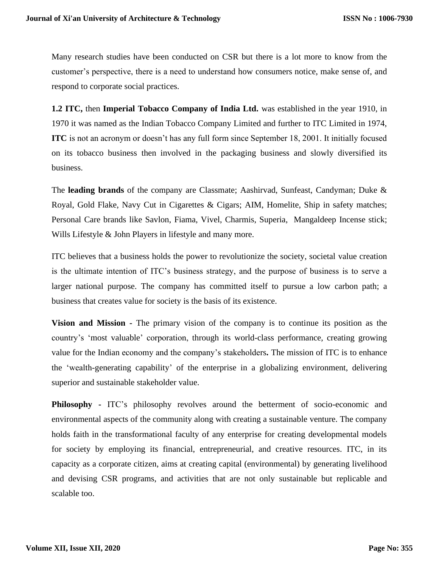Many research studies have been conducted on CSR but there is a lot more to know from the customer's perspective, there is a need to understand how consumers notice, make sense of, and respond to corporate social practices.

**1.2 ITC,** then **Imperial Tobacco Company of India Ltd.** was established in the year 1910, in 1970 it was named as the Indian Tobacco Company Limited and further to ITC Limited in 1974, **ITC** is not an acronym or doesn't has any full form since September 18, 2001. It initially focused on its tobacco business then involved in the packaging business and slowly diversified its business.

The **leading brands** of the company are Classmate; Aashirvad, Sunfeast, Candyman; Duke & Royal, Gold Flake, Navy Cut in Cigarettes & Cigars; AIM, Homelite, Ship in safety matches; Personal Care brands like Savlon, Fiama, Vivel, Charmis, Superia, Mangaldeep Incense stick; Wills Lifestyle & John Players in lifestyle and many more.

ITC believes that a business holds the power to revolutionize the society, societal value creation is the ultimate intention of ITC's business strategy, and the purpose of business is to serve a larger national purpose. The company has committed itself to pursue a low carbon path; a business that creates value for society is the basis of its existence.

**Vision and Mission -** The primary vision of the company is to continue its position as the country's 'most valuable' corporation, through its world-class performance, creating growing value for the Indian economy and the company's stakeholders**.** The mission of ITC is to enhance the 'wealth-generating capability' of the enterprise in a globalizing environment, delivering superior and sustainable stakeholder value.

**Philosophy -** ITC's philosophy revolves around the betterment of socio-economic and environmental aspects of the community along with creating a sustainable venture. The company holds faith in the transformational faculty of any enterprise for creating developmental models for society by employing its financial, entrepreneurial, and creative resources. ITC, in its capacity as a corporate citizen, aims at creating capital (environmental) by generating livelihood and devising CSR programs, and activities that are not only sustainable but replicable and scalable too.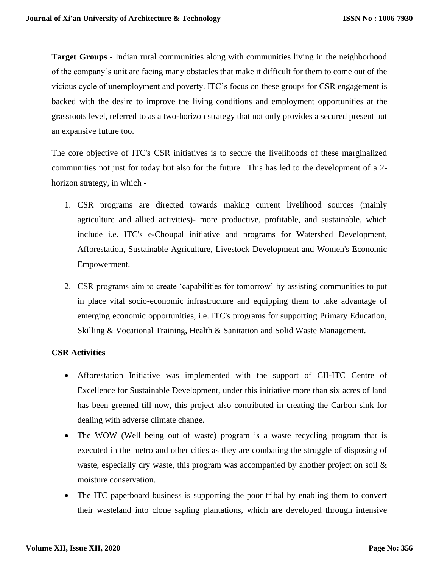**Target Groups** - Indian rural communities along with communities living in the neighborhood of the company's unit are facing many obstacles that make it difficult for them to come out of the vicious cycle of unemployment and poverty. ITC's focus on these groups for CSR engagement is backed with the desire to improve the living conditions and employment opportunities at the grassroots level, referred to as a two-horizon strategy that not only provides a secured present but an expansive future too.

The core objective of ITC's CSR initiatives is to secure the livelihoods of these marginalized communities not just for today but also for the future. This has led to the development of a 2 horizon strategy, in which -

- 1. CSR programs are directed towards making current livelihood sources (mainly agriculture and allied activities)- more productive, profitable, and sustainable, which include i.e. ITC's e-Choupal initiative and programs for Watershed Development, Afforestation, Sustainable Agriculture, Livestock Development and Women's Economic Empowerment.
- 2. CSR programs aim to create 'capabilities for tomorrow' by assisting communities to put in place vital socio-economic infrastructure and equipping them to take advantage of emerging economic opportunities, i.e. ITC's programs for supporting Primary Education, Skilling & Vocational Training, Health & Sanitation and Solid Waste Management.

# **CSR Activities**

- Afforestation Initiative was implemented with the support of CII-ITC Centre of Excellence for Sustainable Development, under this initiative more than six acres of land has been greened till now, this project also contributed in creating the Carbon sink for dealing with adverse climate change.
- The WOW (Well being out of waste) program is a waste recycling program that is executed in the metro and other cities as they are combating the struggle of disposing of waste, especially dry waste, this program was accompanied by another project on soil  $\&$ moisture conservation.
- The ITC paperboard business is supporting the poor tribal by enabling them to convert their wasteland into clone sapling plantations, which are developed through intensive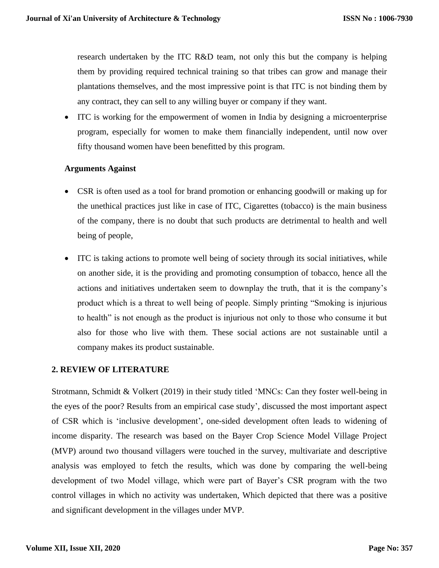research undertaken by the ITC R&D team, not only this but the company is helping them by providing required technical training so that tribes can grow and manage their plantations themselves, and the most impressive point is that ITC is not binding them by any contract, they can sell to any willing buyer or company if they want.

• ITC is working for the empowerment of women in India by designing a microenterprise program, especially for women to make them financially independent, until now over fifty thousand women have been benefitted by this program.

# **Arguments Against**

- CSR is often used as a tool for brand promotion or enhancing goodwill or making up for the unethical practices just like in case of ITC, Cigarettes (tobacco) is the main business of the company, there is no doubt that such products are detrimental to health and well being of people,
- ITC is taking actions to promote well being of society through its social initiatives, while on another side, it is the providing and promoting consumption of tobacco, hence all the actions and initiatives undertaken seem to downplay the truth, that it is the company's product which is a threat to well being of people. Simply printing "Smoking is injurious to health" is not enough as the product is injurious not only to those who consume it but also for those who live with them. These social actions are not sustainable until a company makes its product sustainable.

# **2. REVIEW OF LITERATURE**

Strotmann, Schmidt & Volkert (2019) in their study titled 'MNCs: Can they foster well-being in the eyes of the poor? Results from an empirical case study', discussed the most important aspect of CSR which is 'inclusive development', one-sided development often leads to widening of income disparity. The research was based on the Bayer Crop Science Model Village Project (MVP) around two thousand villagers were touched in the survey, multivariate and descriptive analysis was employed to fetch the results, which was done by comparing the well-being development of two Model village, which were part of Bayer's CSR program with the two control villages in which no activity was undertaken, Which depicted that there was a positive and significant development in the villages under MVP.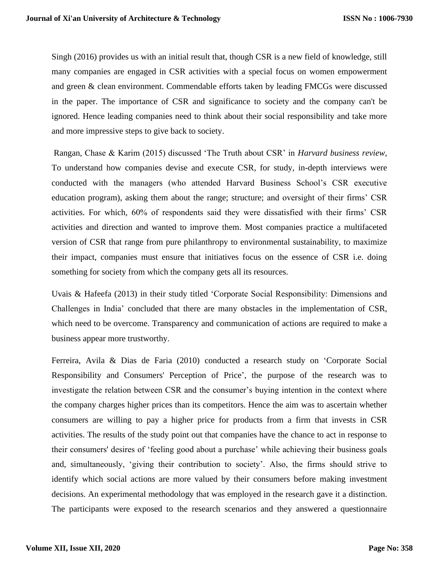Singh (2016) provides us with an initial result that, though CSR is a new field of knowledge, still many companies are engaged in CSR activities with a special focus on women empowerment and green & clean environment. Commendable efforts taken by leading FMCGs were discussed in the paper. The importance of CSR and significance to society and the company can't be ignored. Hence leading companies need to think about their social responsibility and take more and more impressive steps to give back to society.

Rangan, Chase & Karim (2015) discussed 'The Truth about CSR' in *Harvard business review*, To understand how companies devise and execute CSR, for study, in-depth interviews were conducted with the managers (who attended Harvard Business School's CSR executive education program), asking them about the range; structure; and oversight of their firms' CSR activities. For which, 60% of respondents said they were dissatisfied with their firms' CSR activities and direction and wanted to improve them. Most companies practice a multifaceted version of CSR that range from pure philanthropy to environmental sustainability, to maximize their impact, companies must ensure that initiatives focus on the essence of CSR i.e. doing something for society from which the company gets all its resources.

Uvais & Hafeefa (2013) in their study titled 'Corporate Social Responsibility: Dimensions and Challenges in India' concluded that there are many obstacles in the implementation of CSR, which need to be overcome. Transparency and communication of actions are required to make a business appear more trustworthy.

Ferreira, Avila & Dias de Faria (2010) conducted a research study on 'Corporate Social Responsibility and Consumers' Perception of Price', the purpose of the research was to investigate the relation between CSR and the consumer's buying intention in the context where the company charges higher prices than its competitors. Hence the aim was to ascertain whether consumers are willing to pay a higher price for products from a firm that invests in CSR activities. The results of the study point out that companies have the chance to act in response to their consumers' desires of 'feeling good about a purchase' while achieving their business goals and, simultaneously, 'giving their contribution to society'. Also, the firms should strive to identify which social actions are more valued by their consumers before making investment decisions. An experimental methodology that was employed in the research gave it a distinction. The participants were exposed to the research scenarios and they answered a questionnaire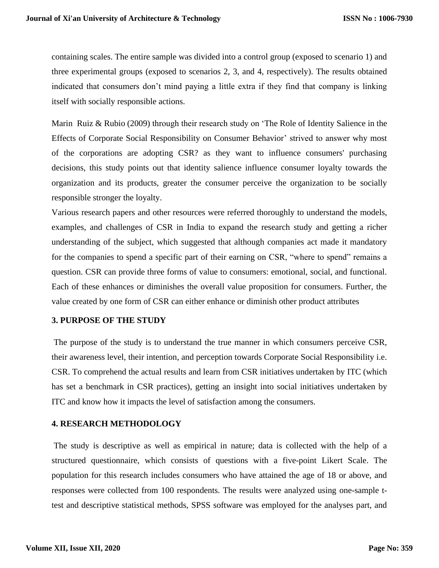containing scales. The entire sample was divided into a control group (exposed to scenario 1) and three experimental groups (exposed to scenarios 2, 3, and 4, respectively). The results obtained indicated that consumers don't mind paying a little extra if they find that company is linking itself with socially responsible actions.

Marin Ruiz & Rubio (2009) through their research study on 'The Role of Identity Salience in the Effects of Corporate Social Responsibility on Consumer Behavior' strived to answer why most of the corporations are adopting CSR? as they want to influence consumers' purchasing decisions, this study points out that identity salience influence consumer loyalty towards the organization and its products, greater the consumer perceive the organization to be socially responsible stronger the loyalty.

Various research papers and other resources were referred thoroughly to understand the models, examples, and challenges of CSR in India to expand the research study and getting a richer understanding of the subject, which suggested that although companies act made it mandatory for the companies to spend a specific part of their earning on CSR, "where to spend" remains a question. CSR can provide three forms of value to consumers: emotional, social, and functional. Each of these enhances or diminishes the overall value proposition for consumers. Further, the value created by one form of CSR can either enhance or diminish other product attributes

### **3. PURPOSE OF THE STUDY**

The purpose of the study is to understand the true manner in which consumers perceive CSR, their awareness level, their intention, and perception towards Corporate Social Responsibility i.e. CSR. To comprehend the actual results and learn from CSR initiatives undertaken by ITC (which has set a benchmark in CSR practices), getting an insight into social initiatives undertaken by ITC and know how it impacts the level of satisfaction among the consumers.

## **4. RESEARCH METHODOLOGY**

The study is descriptive as well as empirical in nature; data is collected with the help of a structured questionnaire, which consists of questions with a five-point Likert Scale. The population for this research includes consumers who have attained the age of 18 or above, and responses were collected from 100 respondents. The results were analyzed using one-sample ttest and descriptive statistical methods, SPSS software was employed for the analyses part, and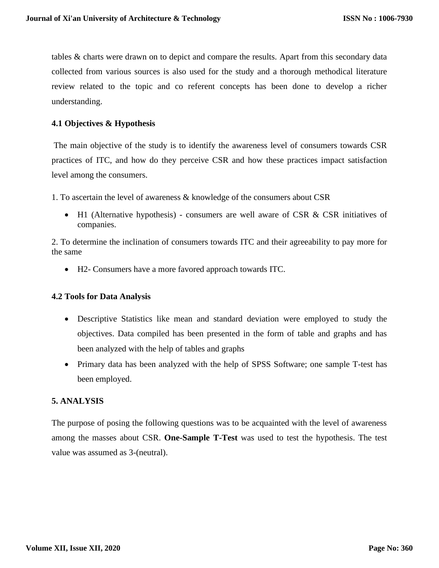tables & charts were drawn on to depict and compare the results. Apart from this secondary data collected from various sources is also used for the study and a thorough methodical literature review related to the topic and co referent concepts has been done to develop a richer understanding.

## **4.1 Objectives & Hypothesis**

The main objective of the study is to identify the awareness level of consumers towards CSR practices of ITC, and how do they perceive CSR and how these practices impact satisfaction level among the consumers.

- 1. To ascertain the level of awareness & knowledge of the consumers about CSR
	- H1 (Alternative hypothesis) consumers are well aware of CSR & CSR initiatives of companies.

2. To determine the inclination of consumers towards ITC and their agreeability to pay more for the same

• H2- Consumers have a more favored approach towards ITC.

### **4.2 Tools for Data Analysis**

- Descriptive Statistics like mean and standard deviation were employed to study the objectives. Data compiled has been presented in the form of table and graphs and has been analyzed with the help of tables and graphs
- Primary data has been analyzed with the help of SPSS Software; one sample T-test has been employed.

### **5. ANALYSIS**

The purpose of posing the following questions was to be acquainted with the level of awareness among the masses about CSR. **One-Sample T-Test** was used to test the hypothesis. The test value was assumed as 3-(neutral).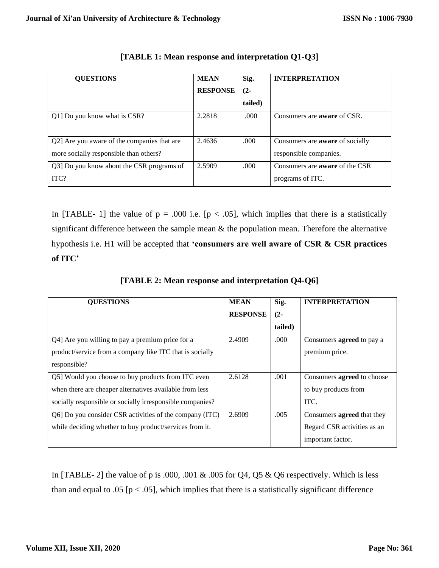| <b>QUESTIONS</b>                            | <b>MEAN</b>     | Sig.    | <b>INTERPRETATION</b>                  |
|---------------------------------------------|-----------------|---------|----------------------------------------|
|                                             | <b>RESPONSE</b> | $(2-$   |                                        |
|                                             |                 | tailed) |                                        |
| Q1] Do you know what is CSR?                | 2.2818          | .000.   | Consumers are <b>aware</b> of CSR.     |
| Q2] Are you aware of the companies that are | 2.4636          | .000    | Consumers are <b>aware</b> of socially |
| more socially responsible than others?      |                 |         | responsible companies.                 |
| Q3] Do you know about the CSR programs of   | 2.5909          | .000.   | Consumers are <b>aware</b> of the CSR  |
| ITC?                                        |                 |         | programs of ITC.                       |

| [TABLE 1: Mean response and interpretation Q1-Q3] |  |  |  |
|---------------------------------------------------|--|--|--|
|---------------------------------------------------|--|--|--|

In [TABLE- 1] the value of  $p = .000$  i.e.  $[p < .05]$ , which implies that there is a statistically significant difference between the sample mean & the population mean. Therefore the alternative hypothesis i.e. H1 will be accepted that **'consumers are well aware of CSR & CSR practices of ITC'** 

| <b>QUESTIONS</b>                                          | <b>MEAN</b>     | Sig.    | <b>INTERPRETATION</b>             |
|-----------------------------------------------------------|-----------------|---------|-----------------------------------|
|                                                           | <b>RESPONSE</b> | $(2 -$  |                                   |
|                                                           |                 | tailed) |                                   |
| Q4] Are you willing to pay a premium price for a          | 2.4909          | .000    | Consumers <b>agreed</b> to pay a  |
| product/service from a company like ITC that is socially  |                 |         | premium price.                    |
| responsible?                                              |                 |         |                                   |
| Q5] Would you choose to buy products from ITC even        | 2.6128          | .001    | Consumers <b>agreed</b> to choose |
| when there are cheaper alternatives available from less   |                 |         | to buy products from              |
| socially responsible or socially irresponsible companies? |                 |         | ITC.                              |
| Q6] Do you consider CSR activities of the company (ITC)   | 2.6909          | .005    | Consumers agreed that they        |
| while deciding whether to buy product/services from it.   |                 |         | Regard CSR activities as an       |
|                                                           |                 |         | important factor.                 |

**[TABLE 2: Mean response and interpretation Q4-Q6]**

In [TABLE- 2] the value of p is .000, .001 & .005 for Q4, Q5 & Q6 respectively. Which is less than and equal to .05 [ $p < .05$ ], which implies that there is a statistically significant difference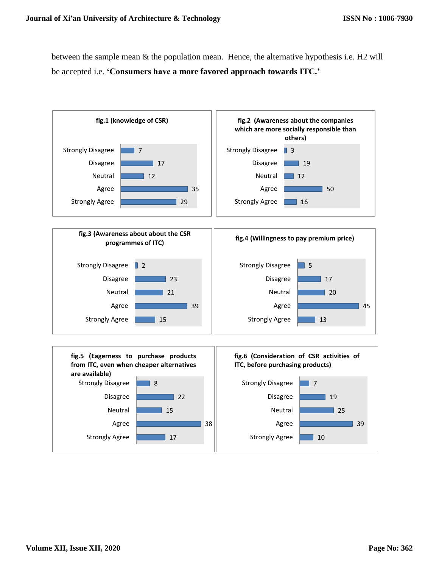between the sample mean & the population mean. Hence, the alternative hypothesis i.e. H2 will be accepted i.e. **'Consumers have a more favored approach towards ITC.'**

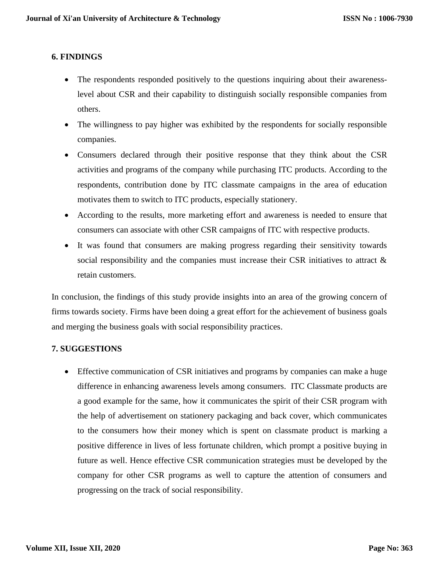# **6. FINDINGS**

- The respondents responded positively to the questions inquiring about their awarenesslevel about CSR and their capability to distinguish socially responsible companies from others.
- The willingness to pay higher was exhibited by the respondents for socially responsible companies.
- Consumers declared through their positive response that they think about the CSR activities and programs of the company while purchasing ITC products. According to the respondents, contribution done by ITC classmate campaigns in the area of education motivates them to switch to ITC products, especially stationery.
- According to the results, more marketing effort and awareness is needed to ensure that consumers can associate with other CSR campaigns of ITC with respective products.
- It was found that consumers are making progress regarding their sensitivity towards social responsibility and the companies must increase their CSR initiatives to attract  $\&$ retain customers.

In conclusion, the findings of this study provide insights into an area of the growing concern of firms towards society. Firms have been doing a great effort for the achievement of business goals and merging the business goals with social responsibility practices.

### **7. SUGGESTIONS**

• Effective communication of CSR initiatives and programs by companies can make a huge difference in enhancing awareness levels among consumers. ITC Classmate products are a good example for the same, how it communicates the spirit of their CSR program with the help of advertisement on stationery packaging and back cover, which communicates to the consumers how their money which is spent on classmate product is marking a positive difference in lives of less fortunate children, which prompt a positive buying in future as well. Hence effective CSR communication strategies must be developed by the company for other CSR programs as well to capture the attention of consumers and progressing on the track of social responsibility.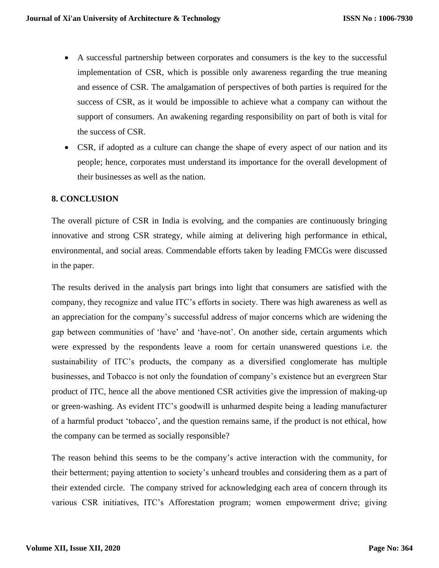- A successful partnership between corporates and consumers is the key to the successful implementation of CSR, which is possible only awareness regarding the true meaning and essence of CSR. The amalgamation of perspectives of both parties is required for the success of CSR, as it would be impossible to achieve what a company can without the support of consumers. An awakening regarding responsibility on part of both is vital for the success of CSR.
- CSR, if adopted as a culture can change the shape of every aspect of our nation and its people; hence, corporates must understand its importance for the overall development of their businesses as well as the nation.

# **8. CONCLUSION**

The overall picture of CSR in India is evolving, and the companies are continuously bringing innovative and strong CSR strategy, while aiming at delivering high performance in ethical, environmental, and social areas. Commendable efforts taken by leading FMCGs were discussed in the paper.

The results derived in the analysis part brings into light that consumers are satisfied with the company, they recognize and value ITC's efforts in society. There was high awareness as well as an appreciation for the company's successful address of major concerns which are widening the gap between communities of 'have' and 'have-not'. On another side, certain arguments which were expressed by the respondents leave a room for certain unanswered questions i.e. the sustainability of ITC's products, the company as a diversified conglomerate has multiple businesses, and Tobacco is not only the foundation of company's existence but an evergreen Star product of ITC, hence all the above mentioned CSR activities give the impression of making-up or green-washing. As evident ITC's goodwill is unharmed despite being a leading manufacturer of a harmful product 'tobacco', and the question remains same, if the product is not ethical, how the company can be termed as socially responsible?

The reason behind this seems to be the company's active interaction with the community, for their betterment; paying attention to society's unheard troubles and considering them as a part of their extended circle. The company strived for acknowledging each area of concern through its various CSR initiatives, ITC's Afforestation program; women empowerment drive; giving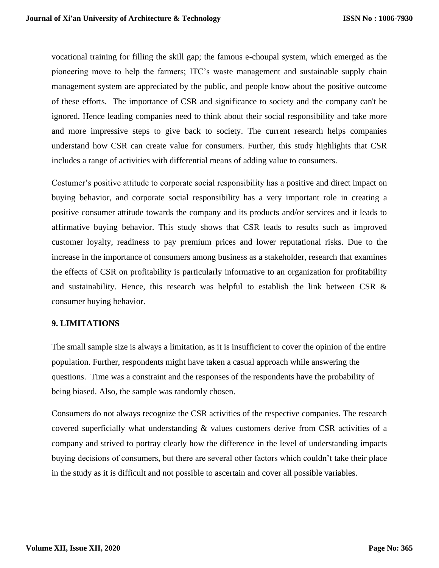vocational training for filling the skill gap; the famous e-choupal system, which emerged as the pioneering move to help the farmers; ITC's waste management and sustainable supply chain management system are appreciated by the public, and people know about the positive outcome of these efforts. The importance of CSR and significance to society and the company can't be ignored. Hence leading companies need to think about their social responsibility and take more and more impressive steps to give back to society. The current research helps companies understand how CSR can create value for consumers. Further, this study highlights that CSR includes a range of activities with differential means of adding value to consumers.

Costumer's positive attitude to corporate social responsibility has a positive and direct impact on buying behavior, and corporate social responsibility has a very important role in creating a positive consumer attitude towards the company and its products and/or services and it leads to affirmative buying behavior. This study shows that CSR leads to results such as improved customer loyalty, readiness to pay premium prices and lower reputational risks. Due to the increase in the importance of consumers among business as a stakeholder, research that examines the effects of CSR on profitability is particularly informative to an organization for profitability and sustainability. Hence, this research was helpful to establish the link between CSR  $\&$ consumer buying behavior.

### **9. LIMITATIONS**

The small sample size is always a limitation, as it is insufficient to cover the opinion of the entire population. Further, respondents might have taken a casual approach while answering the questions. Time was a constraint and the responses of the respondents have the probability of being biased. Also, the sample was randomly chosen.

Consumers do not always recognize the CSR activities of the respective companies. The research covered superficially what understanding & values customers derive from CSR activities of a company and strived to portray clearly how the difference in the level of understanding impacts buying decisions of consumers, but there are several other factors which couldn't take their place in the study as it is difficult and not possible to ascertain and cover all possible variables.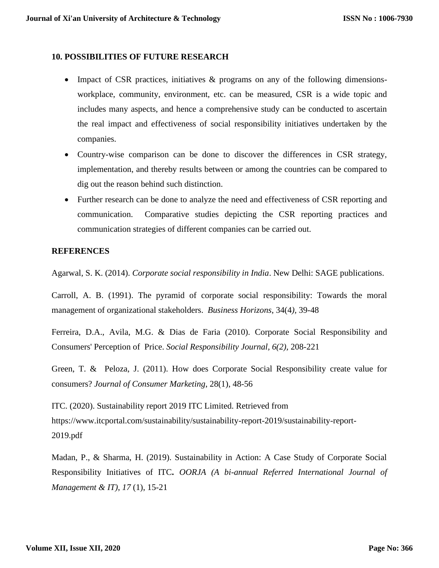#### **10. POSSIBILITIES OF FUTURE RESEARCH**

- Impact of CSR practices, initiatives & programs on any of the following dimensionsworkplace, community, environment, etc. can be measured, CSR is a wide topic and includes many aspects, and hence a comprehensive study can be conducted to ascertain the real impact and effectiveness of social responsibility initiatives undertaken by the companies.
- Country-wise comparison can be done to discover the differences in CSR strategy, implementation, and thereby results between or among the countries can be compared to dig out the reason behind such distinction.
- Further research can be done to analyze the need and effectiveness of CSR reporting and communication. Comparative studies depicting the CSR reporting practices and communication strategies of different companies can be carried out.

#### **REFERENCES**

Agarwal, S. K. (2014). *Corporate social responsibility in India*. New Delhi: SAGE publications.

Carroll, A. B. (1991). The pyramid of corporate social responsibility: Towards the moral management of organizational stakeholders. *Business Horizons*, 34(4*),* 39-48

Ferreira, D.A., Avila, M.G. & Dias de Faria (2010). Corporate Social Responsibility and Consumers' Perception of Price. *Social Responsibility Journal, 6(2),* 208-221

Green, T. & Peloza, J. (2011). How does Corporate Social Responsibility create value for consumers? *Journal of Consumer Marketing*, 28(1), 48-56

ITC. (2020). Sustainability report 2019 ITC Limited. Retrieved from https://www.itcportal.com/sustainability/sustainability-report-2019/sustainability-report-2019.pdf

Madan, P., & Sharma, H. (2019). Sustainability in Action: A Case Study of Corporate Social Responsibility Initiatives of ITC**.** *OORJA (A bi-annual Referred International Journal of Management & IT)*, *17* (1), 15-21